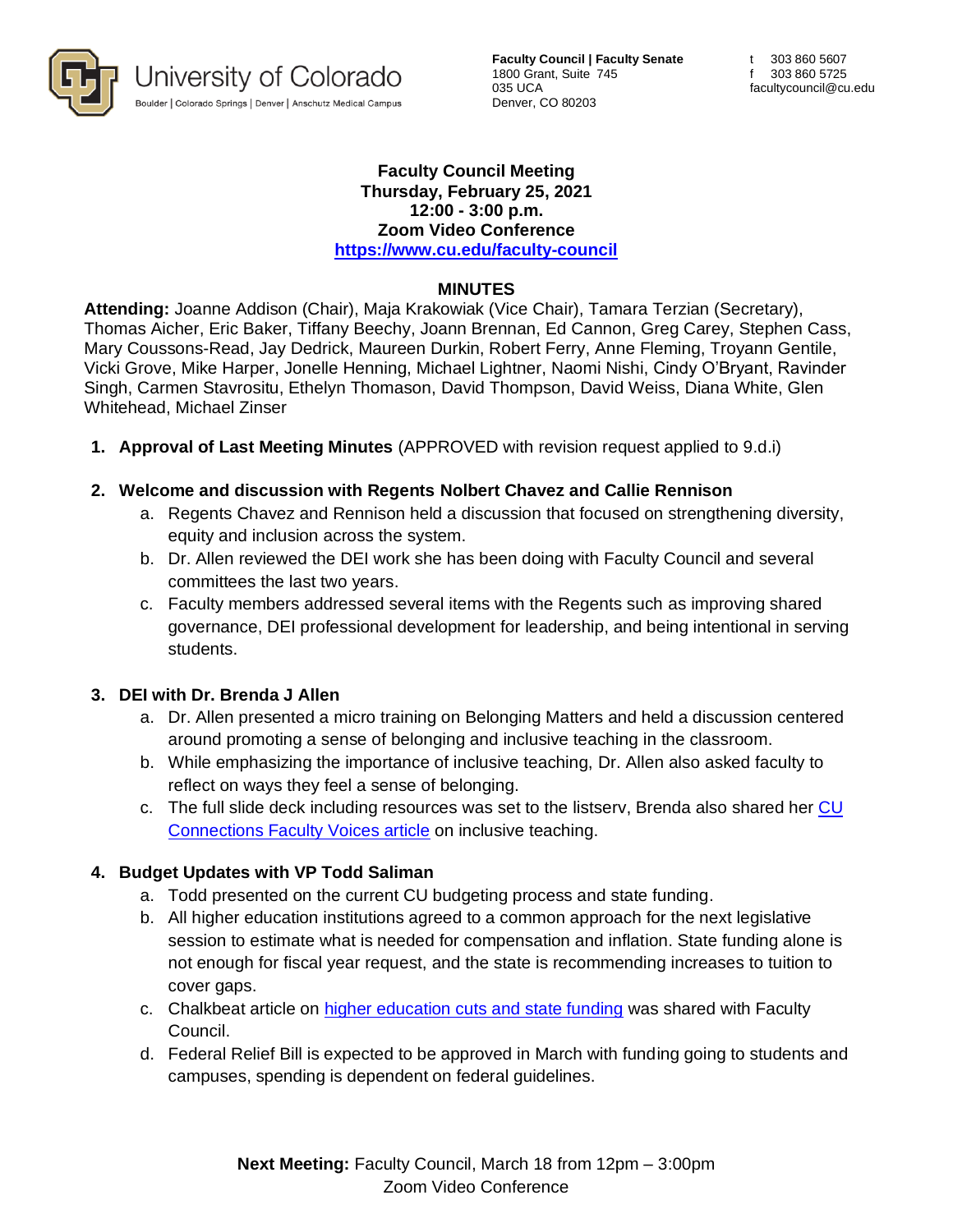

**Faculty Council | Faculty Senate** 1800 Grant, Suite 745 035 UCA Denver, CO 80203

#### **Faculty Council Meeting Thursday, February 25, 2021 12:00 - 3:00 p.m. Zoom Video Conference <https://www.cu.edu/faculty-council>**

#### **MINUTES**

**Attending:** Joanne Addison (Chair), Maja Krakowiak (Vice Chair), Tamara Terzian (Secretary), Thomas Aicher, Eric Baker, Tiffany Beechy, Joann Brennan, Ed Cannon, Greg Carey, Stephen Cass, Mary Coussons-Read, Jay Dedrick, Maureen Durkin, Robert Ferry, Anne Fleming, Troyann Gentile, Vicki Grove, Mike Harper, Jonelle Henning, Michael Lightner, Naomi Nishi, Cindy O'Bryant, Ravinder Singh, Carmen Stavrositu, Ethelyn Thomason, David Thompson, David Weiss, Diana White, Glen Whitehead, Michael Zinser

**1. Approval of Last Meeting Minutes** (APPROVED with revision request applied to 9.d.i)

### **2. Welcome and discussion with Regents Nolbert Chavez and Callie Rennison**

- a. Regents Chavez and Rennison held a discussion that focused on strengthening diversity, equity and inclusion across the system.
- b. Dr. Allen reviewed the DEI work she has been doing with Faculty Council and several committees the last two years.
- c. Faculty members addressed several items with the Regents such as improving shared governance, DEI professional development for leadership, and being intentional in serving students.

#### **3. DEI with Dr. Brenda J Allen**

- a. Dr. Allen presented a micro training on Belonging Matters and held a discussion centered around promoting a sense of belonging and inclusive teaching in the classroom.
- b. While emphasizing the importance of inclusive teaching, Dr. Allen also asked faculty to reflect on ways they feel a sense of belonging.
- c. The full slide deck including resources was set to the listserv, Brenda also shared her [CU](https://connections.cu.edu/stories/cu-faculty-voices-now-more-ever-we-need-focus-inclusive-teaching)  [Connections Faculty Voices article](https://connections.cu.edu/stories/cu-faculty-voices-now-more-ever-we-need-focus-inclusive-teaching) on inclusive teaching.

#### **4. Budget Updates with VP Todd Saliman**

- a. Todd presented on the current CU budgeting process and state funding.
- b. All higher education institutions agreed to a common approach for the next legislative session to estimate what is needed for compensation and inflation. State funding alone is not enough for fiscal year request, and the state is recommending increases to tuition to cover gaps.
- c. Chalkbeat article on [higher education cuts and state funding](https://co.chalkbeat.org/2021/2/22/22296113/colorado-higher-education-state-funding-restore-investment) was shared with Faculty Council.
- d. Federal Relief Bill is expected to be approved in March with funding going to students and campuses, spending is dependent on federal guidelines.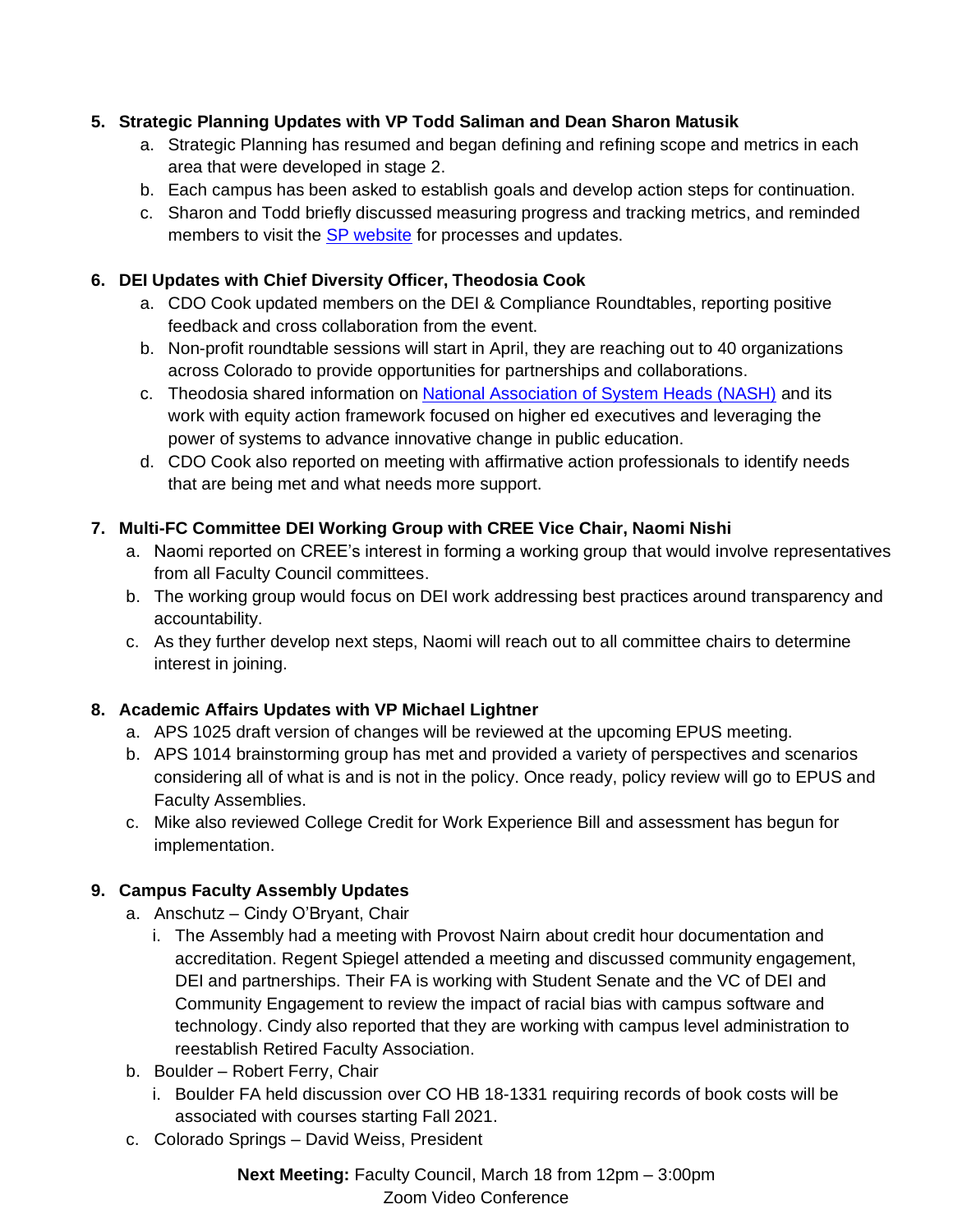## **5. Strategic Planning Updates with VP Todd Saliman and Dean Sharon Matusik**

- a. Strategic Planning has resumed and began defining and refining scope and metrics in each area that were developed in stage 2.
- b. Each campus has been asked to establish goals and develop action steps for continuation.
- c. Sharon and Todd briefly discussed measuring progress and tracking metrics, and reminded members to visit the [SP website](https://www.cu.edu/strategic-planning) for processes and updates.

### **6. DEI Updates with Chief Diversity Officer, Theodosia Cook**

- a. CDO Cook updated members on the DEI & Compliance Roundtables, reporting positive feedback and cross collaboration from the event.
- b. Non-profit roundtable sessions will start in April, they are reaching out to 40 organizations across Colorado to provide opportunities for partnerships and collaborations.
- c. Theodosia shared information on [National Association of System Heads \(NASH\)](https://nashonline.org/) and its work with equity action framework focused on higher ed executives and leveraging the power of systems to advance innovative change in public education.
- d. CDO Cook also reported on meeting with affirmative action professionals to identify needs that are being met and what needs more support.

## **7. Multi-FC Committee DEI Working Group with CREE Vice Chair, Naomi Nishi**

- a. Naomi reported on CREE's interest in forming a working group that would involve representatives from all Faculty Council committees.
- b. The working group would focus on DEI work addressing best practices around transparency and accountability.
- c. As they further develop next steps, Naomi will reach out to all committee chairs to determine interest in joining.

### **8. Academic Affairs Updates with VP Michael Lightner**

- a. APS 1025 draft version of changes will be reviewed at the upcoming EPUS meeting.
- b. APS 1014 brainstorming group has met and provided a variety of perspectives and scenarios considering all of what is and is not in the policy. Once ready, policy review will go to EPUS and Faculty Assemblies.
- c. Mike also reviewed College Credit for Work Experience Bill and assessment has begun for implementation.

# **9. Campus Faculty Assembly Updates**

- a. Anschutz Cindy O'Bryant, Chair
	- i. The Assembly had a meeting with Provost Nairn about credit hour documentation and accreditation. Regent Spiegel attended a meeting and discussed community engagement, DEI and partnerships. Their FA is working with Student Senate and the VC of DEI and Community Engagement to review the impact of racial bias with campus software and technology. Cindy also reported that they are working with campus level administration to reestablish Retired Faculty Association.
- b. Boulder Robert Ferry, Chair
	- i. Boulder FA held discussion over CO HB 18-1331 requiring records of book costs will be associated with courses starting Fall 2021.
- c. Colorado Springs David Weiss, President

**Next Meeting:** Faculty Council, March 18 from 12pm – 3:00pm Zoom Video Conference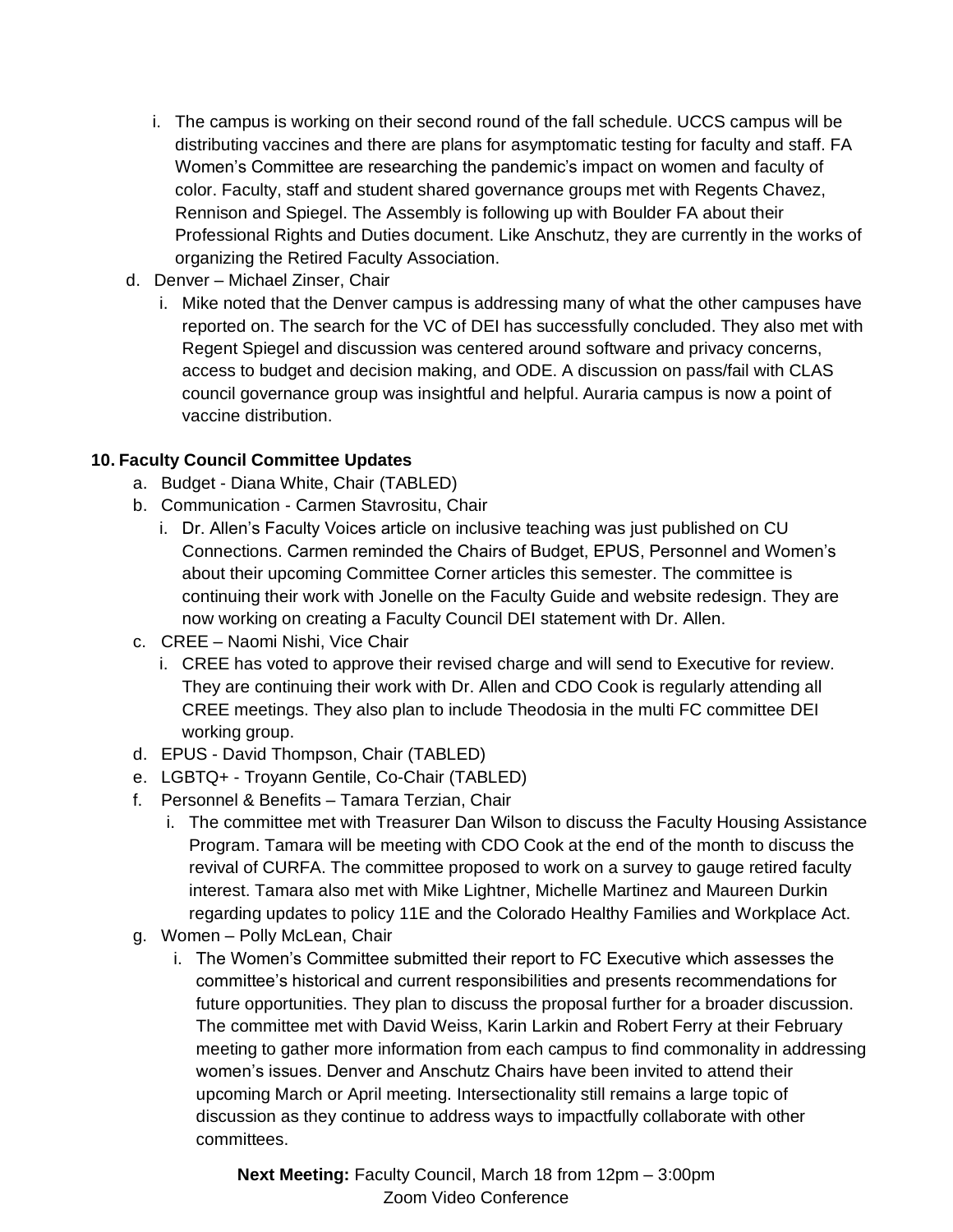- i. The campus is working on their second round of the fall schedule. UCCS campus will be distributing vaccines and there are plans for asymptomatic testing for faculty and staff. FA Women's Committee are researching the pandemic's impact on women and faculty of color. Faculty, staff and student shared governance groups met with Regents Chavez, Rennison and Spiegel. The Assembly is following up with Boulder FA about their Professional Rights and Duties document. Like Anschutz, they are currently in the works of organizing the Retired Faculty Association.
- d. Denver Michael Zinser, Chair
	- i. Mike noted that the Denver campus is addressing many of what the other campuses have reported on. The search for the VC of DEI has successfully concluded. They also met with Regent Spiegel and discussion was centered around software and privacy concerns, access to budget and decision making, and ODE. A discussion on pass/fail with CLAS council governance group was insightful and helpful. Auraria campus is now a point of vaccine distribution.

### **10. Faculty Council Committee Updates**

- a. Budget Diana White, Chair (TABLED)
- b. Communication Carmen Stavrositu, Chair
	- i. Dr. Allen's Faculty Voices article on inclusive teaching was just published on CU Connections. Carmen reminded the Chairs of Budget, EPUS, Personnel and Women's about their upcoming Committee Corner articles this semester. The committee is continuing their work with Jonelle on the Faculty Guide and website redesign. They are now working on creating a Faculty Council DEI statement with Dr. Allen.
- c. CREE Naomi Nishi, Vice Chair
	- i. CREE has voted to approve their revised charge and will send to Executive for review. They are continuing their work with Dr. Allen and CDO Cook is regularly attending all CREE meetings. They also plan to include Theodosia in the multi FC committee DEI working group.
- d. EPUS David Thompson, Chair (TABLED)
- e. LGBTQ+ Troyann Gentile, Co-Chair (TABLED)
- f. Personnel & Benefits Tamara Terzian, Chair
	- i. The committee met with Treasurer Dan Wilson to discuss the Faculty Housing Assistance Program. Tamara will be meeting with CDO Cook at the end of the month to discuss the revival of CURFA. The committee proposed to work on a survey to gauge retired faculty interest. Tamara also met with Mike Lightner, Michelle Martinez and Maureen Durkin regarding updates to policy 11E and the Colorado Healthy Families and Workplace Act.
- g. Women Polly McLean, Chair
	- i. The Women's Committee submitted their report to FC Executive which assesses the committee's historical and current responsibilities and presents recommendations for future opportunities. They plan to discuss the proposal further for a broader discussion. The committee met with David Weiss, Karin Larkin and Robert Ferry at their February meeting to gather more information from each campus to find commonality in addressing women's issues. Denver and Anschutz Chairs have been invited to attend their upcoming March or April meeting. Intersectionality still remains a large topic of discussion as they continue to address ways to impactfully collaborate with other committees.

**Next Meeting:** Faculty Council, March 18 from 12pm – 3:00pm Zoom Video Conference